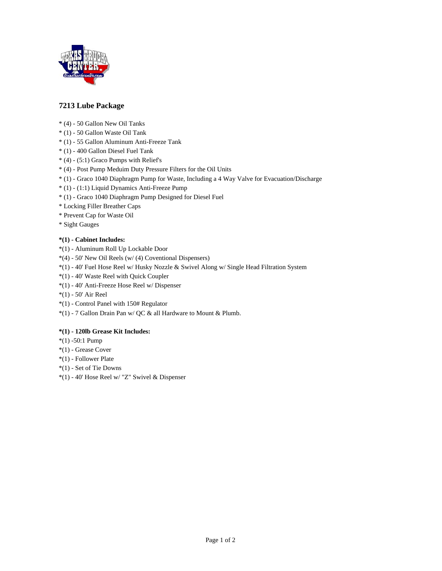

## **7213 Lube Package**

- \* (4) 50 Gallon New Oil Tanks
- \* (1) 50 Gallon Waste Oil Tank
- \* (1) 55 Gallon Aluminum Anti-Freeze Tank
- \* (1) 400 Gallon Diesel Fuel Tank
- $*(4)$  (5:1) Graco Pumps with Relief's
- \* (4) Post Pump Meduim Duty Pressure Filters for the Oil Units
- \* (1) Graco 1040 Diaphragm Pump for Waste, Including a 4 Way Valve for Evacuation/Discharge
- \* (1) (1:1) Liquid Dynamics Anti-Freeze Pump
- \* (1) Graco 1040 Diaphragm Pump Designed for Diesel Fuel
- \* Locking Filler Breather Caps
- \* Prevent Cap for Waste Oil
- \* Sight Gauges

#### **\*(1) - Cabinet Includes:**

- \*(1) Aluminum Roll Up Lockable Door
- \*(4) 50' New Oil Reels (w/ (4) Coventional Dispensers)
- \*(1) 40' Fuel Hose Reel w/ Husky Nozzle & Swivel Along w/ Single Head Filtration System
- \*(1) 40' Waste Reel with Quick Coupler
- \*(1) 40' Anti-Freeze Hose Reel w/ Dispenser
- \*(1) 50' Air Reel
- \*(1) Control Panel with 150# Regulator
- \*(1) 7 Gallon Drain Pan w/ QC & all Hardware to Mount & Plumb.

### **\*(1) - 120lb Grease Kit Includes:**

- \*(1) -50:1 Pump
- \*(1) Grease Cover
- \*(1) Follower Plate
- \*(1) Set of Tie Downs
- \*(1) 40' Hose Reel w/ "Z" Swivel & Dispenser